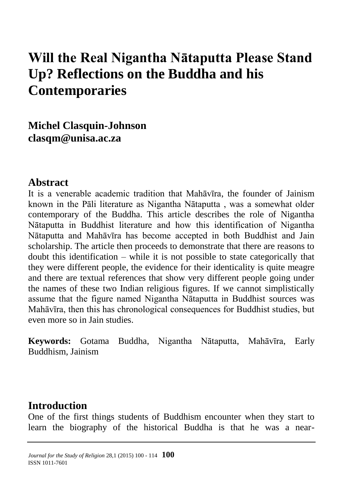# **Will the Real Nigantha Nātaputta Please Stand Up? Reflections on the Buddha and his Contemporaries**

**Michel Clasquin-Johnson [clasqm@unisa.ac.za](mailto:clasqm@unisa.ac.za)**

#### **Abstract**

It is a venerable academic tradition that Mahāvīra, the founder of Jainism known in the Pāli literature as Nigantha Nātaputta , was a somewhat older contemporary of the Buddha. This article describes the role of Nigantha Nātaputta in Buddhist literature and how this identification of Nigantha Nātaputta and Mahāvīra has become accepted in both Buddhist and Jain scholarship. The article then proceeds to demonstrate that there are reasons to doubt this identification – while it is not possible to state categorically that they were different people, the evidence for their identicality is quite meagre and there are textual references that show very different people going under the names of these two Indian religious figures. If we cannot simplistically assume that the figure named Nigantha Nātaputta in Buddhist sources was Mahāvīra, then this has chronological consequences for Buddhist studies, but even more so in Jain studies.

**Keywords:** Gotama Buddha, Nigantha Nātaputta, Mahāvīra, Early Buddhism, Jainism

#### **Introduction**

One of the first things students of Buddhism encounter when they start to learn the biography of the historical Buddha is that he was a near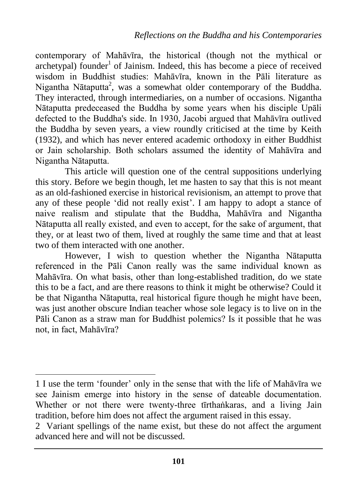contemporary of Mahāvīra, the historical (though not the mythical or archetypal) founder<sup>1</sup> of Jainism. Indeed, this has become a piece of received wisdom in Buddhist studies: Mahāvīra, known in the Pāli literature as Nigantha Nātaputta<sup>2</sup>, was a somewhat older contemporary of the Buddha. They interacted, through intermediaries, on a number of occasions. Nigantha Nātaputta predeceased the Buddha by some years when his disciple Upāli defected to the Buddha's side. In 1930, Jacobi argued that Mahāvīra outlived the Buddha by seven years, a view roundly criticised at the time by Keith (1932), and which has never entered academic orthodoxy in either Buddhist or Jain scholarship. Both scholars assumed the identity of Mahāvīra and Nigantha Nātaputta.

This article will question one of the central suppositions underlying this story. Before we begin though, let me hasten to say that this is not meant as an old-fashioned exercise in historical revisionism, an attempt to prove that any of these people 'did not really exist'. I am happy to adopt a stance of naive realism and stipulate that the Buddha, Mahāvīra and Nigantha Nātaputta all really existed, and even to accept, for the sake of argument, that they, or at least two of them, lived at roughly the same time and that at least two of them interacted with one another.

However, I wish to question whether the Nigantha Nātaputta referenced in the Pāli Canon really was the same individual known as Mahāvīra. On what basis, other than long-established tradition, do we state this to be a fact, and are there reasons to think it might be otherwise? Could it be that Nigantha Nātaputta, real historical figure though he might have been, was just another obscure Indian teacher whose sole legacy is to live on in the Pāli Canon as a straw man for Buddhist polemics? Is it possible that he was not, in fact, Mahāvīra?

<sup>1</sup> I use the term 'founder' only in the sense that with the life of Mahāvīra we see Jainism emerge into history in the sense of dateable documentation. Whether or not there were twenty-three tīrthankaras, and a living Jain tradition, before him does not affect the argument raised in this essay.

<sup>2</sup> Variant spellings of the name exist, but these do not affect the argument advanced here and will not be discussed.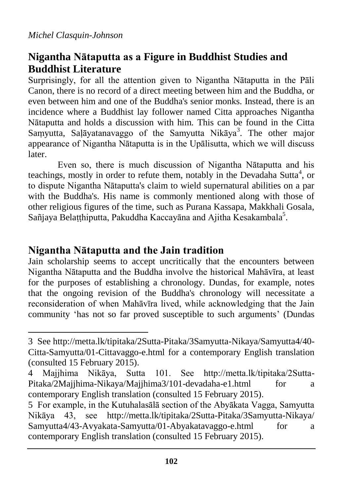$\overline{a}$ 

## **Nigantha Nātaputta as a Figure in Buddhist Studies and Buddhist Literature**

Surprisingly, for all the attention given to Nigantha Nātaputta in the Pāli Canon, there is no record of a direct meeting between him and the Buddha, or even between him and one of the Buddha's senior monks. Instead, there is an incidence where a Buddhist lay follower named Citta approaches Nigantha Nātaputta and holds a discussion with him. This can be found in the Citta Saṃyutta, Saḷāyatanavaggo of the Samyutta Nikāya<sup>3</sup>. The other major appearance of Nigantha Nātaputta is in the Upālisutta, which we will discuss later.

Even so, there is much discussion of Nigantha Nātaputta and his teachings, mostly in order to refute them, notably in the Devadaha Sutta<sup>4</sup>, or to dispute Nigantha Nātaputta's claim to wield supernatural abilities on a par with the Buddha's. His name is commonly mentioned along with those of other religious figures of the time, such as Purana Kassapa, Makkhali Gosala, Sañjaya Belaṭṭhiputta, Pakuddha Kaccayāna and Ajitha Kesakambala5.

### **Nigantha Nātaputta and the Jain tradition**

Jain scholarship seems to accept uncritically that the encounters between Nigantha Nātaputta and the Buddha involve the historical Mahāvīra, at least for the purposes of establishing a chronology. Dundas, for example, notes that the ongoing revision of the Buddha's chronology will necessitate a reconsideration of when Mahāvīra lived, while acknowledging that the Jain community 'has not so far proved susceptible to such arguments' (Dundas

<sup>3</sup> See http://metta.lk/tipitaka/2Sutta-Pitaka/3Samyutta-Nikaya/Samyutta4/40- Citta-Samyutta/01-Cittavaggo-e.html for a contemporary English translation (consulted 15 February 2015).

<sup>4</sup> Majjhima Nikāya, Sutta 101. See http://metta.lk/tipitaka/2Sutta-Pitaka/2Majjhima-Nikaya/Majjhima3/101-devadaha-e1.html for a contemporary English translation (consulted 15 February 2015).

<sup>5</sup> For example, in the Kutuhalasālā section of the Abyākata Vagga, Samyutta Nikāya 43, see <http://metta.lk/tipitaka/2Sutta-Pitaka/3Samyutta-Nikaya/> Samyutta4/43-Avyakata-Samyutta/01-Abyakatavaggo-e.html for a contemporary English translation (consulted 15 February 2015).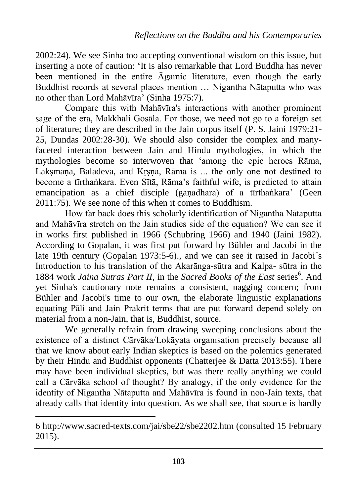2002:24). We see Sinha too accepting conventional wisdom on this issue, but inserting a note of caution: 'It is also remarkable that Lord Buddha has never been mentioned in the entire Āgamic literature, even though the early Buddhist records at several places mention … Nigantha Nātaputta who was no other than Lord Mahāvīra' (Sinha 1975:7).

Compare this with Mahāvīra's interactions with another prominent sage of the era, Makkhali Gosāla. For those, we need not go to a foreign set of literature; they are described in the Jain corpus itself (P. S. Jaini 1979:21- 25, Dundas 2002:28-30). We should also consider the complex and manyfaceted interaction between Jain and Hindu mythologies, in which the mythologies become so interwoven that 'among the epic heroes Rāma, Laksmana, Baladeva, and Krsna, Rāma is ... the only one not destined to become a tīrthankara. Even Sītā, Rāma's faithful wife, is predicted to attain emancipation as a chief disciple (ganadhara) of a tīrtha nkara' (Geen 2011:75). We see none of this when it comes to Buddhism.

How far back does this scholarly identification of Nigantha Nātaputta and Mahāvīra stretch on the Jain studies side of the equation? We can see it in works first published in 1966 (Schubring 1966) and 1940 (Jaini 1982). According to Gopalan, it was first put forward by Bühler and Jacobi in the late 19th century (Gopalan 1973:5-6)., and we can see it raised in Jacobi´s Introduction to his translation of the Akarānga-sūtra and Kalpa- sūtra in the 1884 work Jaina Sutras Part II, in the Sacred Books of the East series<sup>6</sup>. And yet Sinha's cautionary note remains a consistent, nagging concern; from Bühler and Jacobi's time to our own, the elaborate linguistic explanations equating Pāli and Jain Prakrit terms that are put forward depend solely on material from a non-Jain, that is, Buddhist, source.

We generally refrain from drawing sweeping conclusions about the existence of a distinct Cārvāka/Lokāyata organisation precisely because all that we know about early Indian skeptics is based on the polemics generated by their Hindu and Buddhist opponents (Chatterjee & Datta 2013:55). There may have been individual skeptics, but was there really anything we could call a Cārvāka school of thought? By analogy, if the only evidence for the identity of Nigantha Nātaputta and Mahāvīra is found in non-Jain texts, that already calls that identity into question. As we shall see, that source is hardly

<sup>6</sup> http://www.sacred-texts.com/jai/sbe22/sbe2202.htm (consulted 15 February 2015).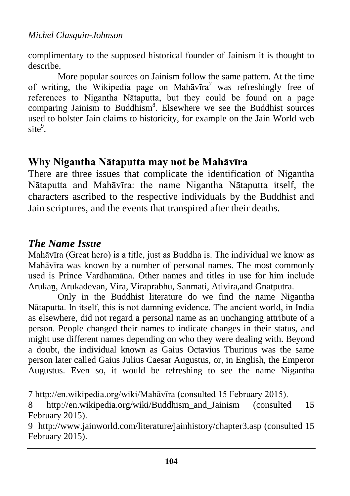complimentary to the supposed historical founder of Jainism it is thought to describe.

More popular sources on Jainism follow the same pattern. At the time of writing, the Wikipedia page on Mahāvīra<sup>7</sup> was refreshingly free of references to Nigantha Nātaputta, but they could be found on a page comparing Jainism to Buddhism<sup>8</sup>. Elsewhere we see the Buddhist sources used to bolster Jain claims to historicity, for example on the Jain World web site<sup>9</sup>.

### **Why Nigantha Nātaputta may not be Mahāvīra**

There are three issues that complicate the identification of Nigantha Nātaputta and Mahāvīra: the name Nigantha Nātaputta itself, the characters ascribed to the respective individuals by the Buddhist and Jain scriptures, and the events that transpired after their deaths.

# *The Name Issue*

 $\overline{a}$ 

Mahāvīra (Great hero) is a title, just as Buddha is. The individual we know as Mahāvīra was known by a number of personal names. The most commonly used is Prince Vardhamāna. Other names and titles in use for him include Arukaṉ, Arukadevan, Vira, Viraprabhu, Sanmati, Ativira,and Gnatputra.

Only in the Buddhist literature do we find the name Nigantha Nātaputta. In itself, this is not damning evidence. The ancient world, in India as elsewhere, did not regard a personal name as an unchanging attribute of a person. People changed their names to indicate changes in their status, and might use different names depending on who they were dealing with. Beyond a doubt, the individual known as Gaius Octavius Thurinus was the same person later called Gaius Julius Caesar Augustus, or, in English, the Emperor Augustus. Even so, it would be refreshing to see the name Nigantha

<sup>7</sup> http://en.wikipedia.org/wiki/Mahāvīra (consulted 15 February 2015 .

<sup>8</sup> http://en.wikipedia.org/wiki/Buddhism and Jainism (consulted 15 February 2015).

<sup>9</sup> http://www.jainworld.com/literature/jainhistory/chapter3.asp (consulted 15 February 2015).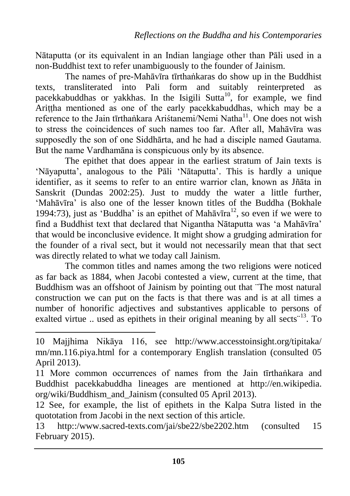Nātaputta (or its equivalent in an Indian langiage other than Pāli used in a non-Buddhist text to refer unambiguously to the founder of Jainism.

The names of pre-Mahāvīra tīrtha nkaras do show up in the Buddhist texts, transliterated into Pali form and suitably reinterpreted as pacekkabuddhas or yakkhas. In the Isigili Sutta<sup>10</sup>, for example, we find Arittha mentioned as one of the early pacekkabuddhas, which may be a reference to the Jain tīrthankara Aristanemi/Nemi Natha<sup>11</sup>. One does not wish to stress the coincidences of such names too far. After all, Mahāvīra was supposedly the son of one Siddhārta, and he had a disciple named Gautama. But the name Vardhamāna is conspicuous only by its absence.

The epithet that does appear in the earliest stratum of Jain texts is 'Nāyaputta', analogous to the Pāli 'Nātaputta'. This is hardly a unique identifier, as it seems to refer to an entire warrior clan, known as Jñāta in Sanskrit (Dundas 2002:25). Just to muddy the water a little further, 'Mahāvīra' is also one of the lesser known titles of the Buddha (Bokhale 1994:73), just as 'Buddha' is an epithet of Mah $\bar{a}$ vīra<sup>12</sup>, so even if we were to find a Buddhist text that declared that Nigantha Nātaputta was 'a Mahāvīra' that would be inconclusive evidence. It might show a grudging admiration for the founder of a rival sect, but it would not necessarily mean that that sect was directly related to what we today call Jainism.

The common titles and names among the two religions were noticed as far back as 1884, when Jacobi contested a view, current at the time, that Buddhism was an offshoot of Jainism by pointing out that ¨The most natural construction we can put on the facts is that there was and is at all times a number of honorific adjectives and substantives applicable to persons of exalted virtue .. used as epithets in their original meaning by all sects<sup>"13</sup>. To

<sup>10</sup> Majjhima Nikāya 116, see <http://www.accesstoinsight.org/tipitaka/> mn/mn.116.piya.html for a contemporary English translation (consulted 05 April 2013).

<sup>11</sup> More common occurrences of names from the Jain tīrthankara and Buddhist pacekkabuddha lineages are mentioned at [http://en.wikipedia.](http://en.wikipedia/) org/wiki/Buddhism\_and\_Jainism (consulted 05 April 2013).

<sup>12</sup> See, for example, the list of epithets in the Kalpa Sutra listed in the quototation from Jacobi in the next section of this article.

<sup>13</sup> http::/www.sacred-texts.com/jai/sbe22/sbe2202.htm (consulted 15 February 2015).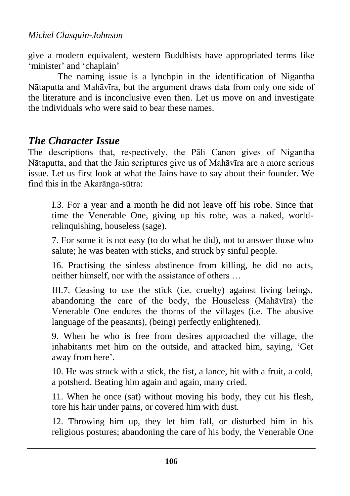give a modern equivalent, western Buddhists have appropriated terms like 'minister' and 'chaplain'

The naming issue is a lynchpin in the identification of Nigantha Nātaputta and Mahāvīra, but the argument draws data from only one side of the literature and is inconclusive even then. Let us move on and investigate the individuals who were said to bear these names.

### *The Character Issue*

The descriptions that, respectively, the Pāli Canon gives of Nigantha Nātaputta, and that the Jain scriptures give us of Mahāvīra are a more serious issue. Let us first look at what the Jains have to say about their founder. We find this in the Akarānga-sūtra:

I.3. For a year and a month he did not leave off his robe. Since that time the Venerable One, giving up his robe, was a naked, worldrelinquishing, houseless (sage).

7. For some it is not easy (to do what he did), not to answer those who salute; he was beaten with sticks, and struck by sinful people.

16. Practising the sinless abstinence from killing, he did no acts, neither himself, nor with the assistance of others …

III.7. Ceasing to use the stick (i.e. cruelty) against living beings, abandoning the care of the body, the Houseless  $(Mah\bar{a}v\bar{r}a)$  the Venerable One endures the thorns of the villages (i.e. The abusive language of the peasants), (being) perfectly enlightened).

9. When he who is free from desires approached the village, the inhabitants met him on the outside, and attacked him, saying, 'Get away from here'.

10. He was struck with a stick, the fist, a lance, hit with a fruit, a cold, a potsherd. Beating him again and again, many cried.

11. When he once (sat) without moving his body, they cut his flesh, tore his hair under pains, or covered him with dust.

12. Throwing him up, they let him fall, or disturbed him in his religious postures; abandoning the care of his body, the Venerable One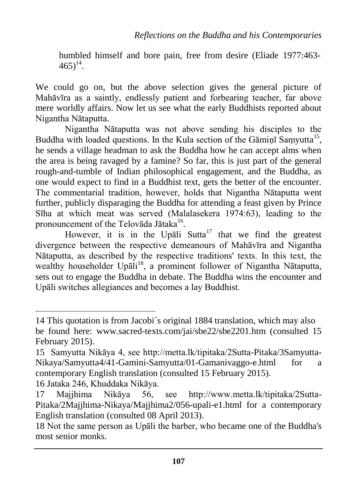humbled himself and bore pain, free from desire (Eliade 1977:463-  $465)^{14}$ .

We could go on, but the above selection gives the general picture of Mahāvīra as a saintly, endlessly patient and forbearing teacher, far above mere worldly affairs. Now let us see what the early Buddhists reported about Nigantha Nātaputta.

Nigantha Nātaputta was not above sending his disciples to the Buddha with loaded questions. In the Kula section of the Gāmiņī Saṃyutta<sup>15</sup>, he sends a village headman to ask the Buddha how he can accept alms when the area is being ravaged by a famine? So far, this is just part of the general rough-and-tumble of Indian philosophical engagement, and the Buddha, as one would expect to find in a Buddhist text, gets the better of the encounter. The commentarial tradition, however, holds that Nigantha Nātaputta went further, publicly disparaging the Buddha for attending a feast given by Prince Sīha at which meat was served (Malalasekera 1974:63), leading to the pronouncement of the Telovāda Jātaka<sup>16</sup>.

However, it is in the Upali Sutta<sup>17</sup> that we find the greatest divergence between the respective demeanours of Mahāvīra and Nigantha Nātaputta, as described by the respective traditions' texts. In this text, the wealthy householder Upāli<sup>18</sup>, a prominent follower of Nigantha Nātaputta, sets out to engage the Buddha in debate. The Buddha wins the encounter and Upāli switches allegiances and becomes a lay Buddhist.

<sup>14</sup> This quotation is from Jacobi´s original 1884 translation, which may also be found here: www.sacred-texts.com/jai/sbe22/sbe2201.htm (consulted 15 February 2015).

<sup>15</sup> Samyutta Nikāya 4, see http://metta.lk/tipitaka/2Sutta-Pitaka/3Samyutta-Nikaya/Samyutta4/41-Gamini-Samyutta/01-Gamaniyaggo-e.html for a contemporary English translation (consulted 15 February 2015).

<sup>16</sup> Jataka 246, Khuddaka Nikāya.

<sup>17</sup> Majjhima Nikāya 56, see http://www.metta.lk/tipitaka/2Sutta-Pitaka/2Majjhima-Nikaya/Majjhima2/056-upali-e1.html for a contemporary English translation (consulted 08 April 2013).

<sup>18</sup> Not the same person as Upāli the barber, who became one of the Buddha's most senior monks.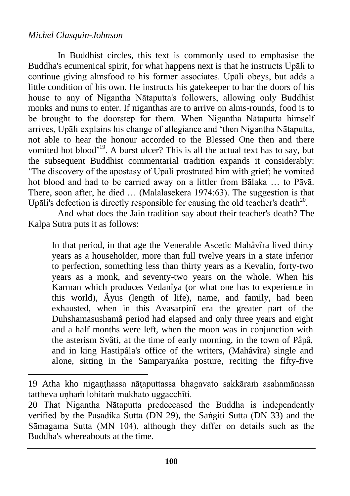#### *Michel Clasquin-Johnson*

 $\overline{a}$ 

In Buddhist circles, this text is commonly used to emphasise the Buddha's ecumenical spirit, for what happens next is that he instructs Upāli to continue giving almsfood to his former associates. Upāli obeys, but adds a little condition of his own. He instructs his gatekeeper to bar the doors of his house to any of Nigantha Nātaputta's followers, allowing only Buddhist monks and nuns to enter. If niganthas are to arrive on alms-rounds, food is to be brought to the doorstep for them. When Nigantha Nataputta himself arrives, Upāli explains his change of allegiance and 'then Nigantha Nātaputta, not able to hear the honour accorded to the Blessed One then and there vomited hot blood<sup>'19</sup>. A burst ulcer? This is all the actual text has to say, but the subsequent Buddhist commentarial tradition expands it considerably: 'The discovery of the apostasy of Upāli prostrated him with grief; he vomited hot blood and had to be carried away on a littler from Bālaka … to Pāvā. There, soon after, he died ... (Malalasekera 1974:63). The suggestion is that Upāli's defection is directly responsible for causing the old teacher's death $^{20}$ .

And what does the Jain tradition say about their teacher's death? The Kalpa Sutra puts it as follows:

In that period, in that age the Venerable Ascetic Mahâvîra lived thirty years as a householder, more than full twelve years in a state inferior to perfection, something less than thirty years as a Kevalin, forty-two years as a monk, and seventy-two years on the whole. When his Karman which produces Vedanîya (or what one has to experience in this world), Âyus (length of life), name, and family, had been exhausted, when in this Avasarpinî era the greater part of the Duhshamasushamâ period had elapsed and only three years and eight and a half months were left, when the moon was in conjunction with the asterism Svâti, at the time of early morning, in the town of Pâpâ, and in king Hastipâla's office of the writers, (Mahâvîra) single and alone, sitting in the Samparyanka posture, reciting the fifty-five

<sup>19</sup> Atha kho nigaṇṭhassa nāṭaputtassa bhagavato sakkāraṁ asahamānassa tattheva uṇhaṁ lohitaṁ mukhato uggacchīti.

<sup>20</sup> That Nigantha Nātaputta predeceased the Buddha is independently verified by the Pāsādika Sutta (DN 29), the Sangiti Sutta (DN 33) and the Sāmagama Sutta (MN 104), although they differ on details such as the Buddha's whereabouts at the time.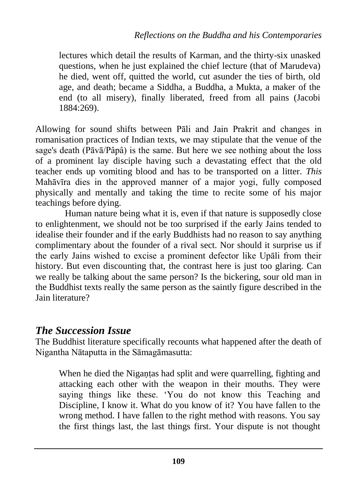lectures which detail the results of Karman, and the thirty-six unasked questions, when he just explained the chief lecture (that of Marudeva) he died, went off, quitted the world, cut asunder the ties of birth, old age, and death; became a Siddha, a Buddha, a Mukta, a maker of the end (to all misery), finally liberated, freed from all pains (Jacobi 1884:269).

Allowing for sound shifts between Pāli and Jain Prakrit and changes in romanisation practices of Indian texts, we may stipulate that the venue of the sage's death (Pāvā/Pâpâ) is the same. But here we see nothing about the loss of a prominent lay disciple having such a devastating effect that the old teacher ends up vomiting blood and has to be transported on a litter. *This* Mahāvīra dies in the approved manner of a major yogi, fully composed physically and mentally and taking the time to recite some of his major teachings before dying.

Human nature being what it is, even if that nature is supposedly close to enlightenment, we should not be too surprised if the early Jains tended to idealise their founder and if the early Buddhists had no reason to say anything complimentary about the founder of a rival sect. Nor should it surprise us if the early Jains wished to excise a prominent defector like Upāli from their history. But even discounting that, the contrast here is just too glaring. Can we really be talking about the same person? Is the bickering, sour old man in the Buddhist texts really the same person as the saintly figure described in the Jain literature?

### *The Succession Issue*

The Buddhist literature specifically recounts what happened after the death of Nigantha Nātaputta in the Sāmagāmasutta:

When he died the Nigantas had split and were quarrelling, fighting and attacking each other with the weapon in their mouths. They were saying things like these. 'You do not know this Teaching and Discipline, I know it. What do you know of it? You have fallen to the wrong method. I have fallen to the right method with reasons. You say the first things last, the last things first. Your dispute is not thought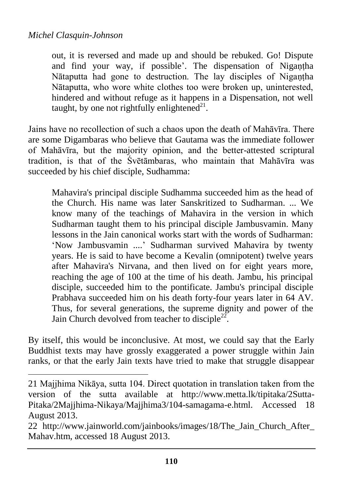$\overline{a}$ 

out, it is reversed and made up and should be rebuked. Go! Dispute and find your way, if possible'. The dispensation of Nigantha Nātaputta had gone to destruction. The lay disciples of Nigantha Nātaputta, who wore white clothes too were broken up, uninterested, hindered and without refuge as it happens in a Dispensation, not well taught, by one not rightfully enlightened $^{21}$ .

Jains have no recollection of such a chaos upon the death of Mahāvīra. There are some Digambaras who believe that Gautama was the immediate follower of Mahāvīra, but the majority opinion, and the better-attested scriptural tradition, is that of the Śvētāmbaras, who maintain that Mahāvīra was succeeded by his chief disciple, Sudhamma:

Mahavira's principal disciple Sudhamma succeeded him as the head of the Church. His name was later Sanskritized to Sudharman. ... We know many of the teachings of Mahavira in the version in which Sudharman taught them to his principal disciple Jambusvamin. Many lessons in the Jain canonical works start with the words of Sudharman: 'Now Jambusvamin ....' Sudharman survived Mahavira by twenty years. He is said to have become a Kevalin (omnipotent) twelve years after Mahavira's Nirvana, and then lived on for eight years more, reaching the age of 100 at the time of his death. Jambu, his principal disciple, succeeded him to the pontificate. Jambu's principal disciple Prabhava succeeded him on his death forty-four years later in 64 AV. Thus, for several generations, the supreme dignity and power of the Jain Church devolved from teacher to disciple<sup>22</sup>.

By itself, this would be inconclusive. At most, we could say that the Early Buddhist texts may have grossly exaggerated a power struggle within Jain ranks, or that the early Jain texts have tried to make that struggle disappear

<sup>21</sup> Majjhima Nikāya, sutta 104. Direct quotation in translation taken from the version of the sutta available at http://www.metta.lk/tipitaka/2Sutta-Pitaka/2Majjhima-Nikaya/Majjhima3/104-samagama-e.html. Accessed 18 August 2013.

<sup>22</sup> [http://www.jainworld.com/jainbooks/images/18/The\\_Jain\\_Church\\_After\\_](http://www.jainworld.com/jainbooks/images/18/The_Jain_Church_After_) Mahav.htm, accessed 18 August 2013.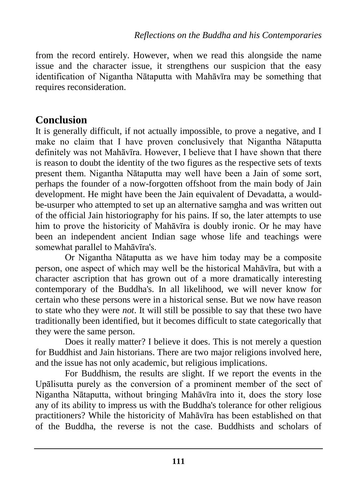from the record entirely. However, when we read this alongside the name issue and the character issue, it strengthens our suspicion that the easy identification of Nigantha Nātaputta with Mahāvīra may be something that requires reconsideration.

### **Conclusion**

It is generally difficult, if not actually impossible, to prove a negative, and I make no claim that I have proven conclusively that Nigantha Nātaputta definitely was not Mahāvīra. However, I believe that I have shown that there is reason to doubt the identity of the two figures as the respective sets of texts present them. Nigantha Nātaputta may well have been a Jain of some sort, perhaps the founder of a now-forgotten offshoot from the main body of Jain development. He might have been the Jain equivalent of Devadatta, a wouldbe-usurper who attempted to set up an alternative saṃgha and was written out of the official Jain historiography for his pains. If so, the later attempts to use him to prove the historicity of Mahāvīra is doubly ironic. Or he may have been an independent ancient Indian sage whose life and teachings were somewhat parallel to Mahāvīra's.

Or Nigantha Nātaputta as we have him today may be a composite person, one aspect of which may well be the historical Mahāvīra, but with a character ascription that has grown out of a more dramatically interesting contemporary of the Buddha's. In all likelihood, we will never know for certain who these persons were in a historical sense. But we now have reason to state who they were *not*. It will still be possible to say that these two have traditionally been identified, but it becomes difficult to state categorically that they were the same person.

Does it really matter? I believe it does. This is not merely a question for Buddhist and Jain historians. There are two major religions involved here, and the issue has not only academic, but religious implications.

For Buddhism, the results are slight. If we report the events in the Upālisutta purely as the conversion of a prominent member of the sect of Nigantha Nātaputta, without bringing Mahāvīra into it, does the story lose any of its ability to impress us with the Buddha's tolerance for other religious practitioners? While the historicity of Mahāvīra has been established on that of the Buddha, the reverse is not the case. Buddhists and scholars of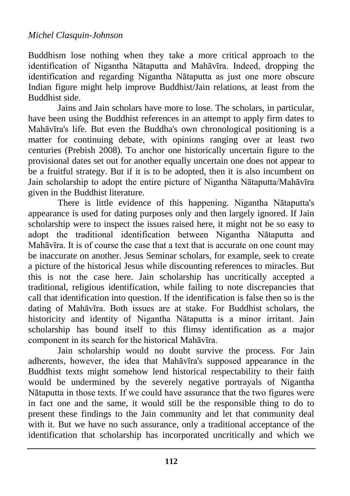Buddhism lose nothing when they take a more critical approach to the identification of Nigantha Nātaputta and Mahāvīra. Indeed, dropping the identification and regarding Nigantha Nātaputta as just one more obscure Indian figure might help improve Buddhist/Jain relations, at least from the Buddhist side.

Jains and Jain scholars have more to lose. The scholars, in particular, have been using the Buddhist references in an attempt to apply firm dates to Mahāvīra's life. But even the Buddha's own chronological positioning is a matter for continuing debate, with opinions ranging over at least two centuries (Prebish 2008). To anchor one historically uncertain figure to the provisional dates set out for another equally uncertain one does not appear to be a fruitful strategy. But if it is to be adopted, then it is also incumbent on Jain scholarship to adopt the entire picture of Nigantha Nātaputta/Mahāvīra given in the Buddhist literature.

There is little evidence of this happening. Nigantha Nātaputta's appearance is used for dating purposes only and then largely ignored. If Jain scholarship were to inspect the issues raised here, it might not be so easy to adopt the traditional identification between Nigantha Nātaputta and Mahāvīra. It is of course the case that a text that is accurate on one count may be inaccurate on another. Jesus Seminar scholars, for example, seek to create a picture of the historical Jesus while discounting references to miracles. But this is not the case here. Jain scholarship has uncritically accepted a traditional, religious identification, while failing to note discrepancies that call that identification into question. If the identification is false then so is the dating of Mahāvīra. Both issues are at stake. For Buddhist scholars, the historicity and identity of Nigantha Nātaputta is a minor irritant. Jain scholarship has bound itself to this flimsy identification as a major component in its search for the historical Mahāvīra.

Jain scholarship would no doubt survive the process. For Jain adherents, however, the idea that Mahāvīra's supposed appearance in the Buddhist texts might somehow lend historical respectability to their faith would be undermined by the severely negative portrayals of Nigantha Nātaputta in those texts. If we could have assurance that the two figures were in fact one and the same, it would still be the responsible thing to do to present these findings to the Jain community and let that community deal with it. But we have no such assurance, only a traditional acceptance of the identification that scholarship has incorporated uncritically and which we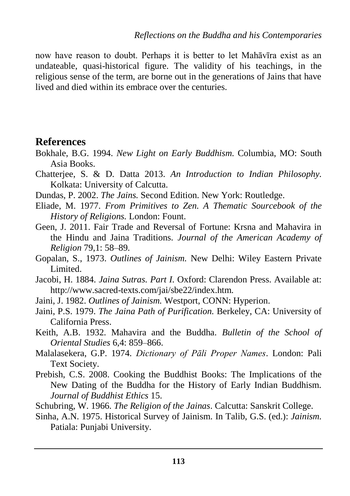now have reason to doubt. Perhaps it is better to let Mahāvīra exist as an undateable, quasi-historical figure. The validity of his teachings, in the religious sense of the term, are borne out in the generations of Jains that have lived and died within its embrace over the centuries.

### **References**

- Bokhale, B.G. 1994. *New Light on Early Buddhism.* Columbia, MO: South Asia Books.
- Chatterjee, S. & D. Datta 2013. *An Introduction to Indian Philosophy.* Kolkata: University of Calcutta.
- Dundas, P. 2002. *The Jains.* Second Edition. New York: Routledge.
- Eliade, M. 1977. *From Primitives to Zen. A Thematic Sourcebook of the History of Religions.* London: Fount.
- Geen, J. 2011. Fair Trade and Reversal of Fortune: Krsna and Mahavira in the Hindu and Jaina Traditions. *Journal of the American Academy of Religion* 79,1: 58–89.
- Gopalan, S., 1973. *Outlines of Jainism.* New Delhi: Wiley Eastern Private Limited.
- Jacobi, H. 1884. *Jaina Sutras. Part I.* Oxford: Clarendon Press. Available at: http://www.sacred-texts.com/jai/sbe22/index.htm.
- Jaini, J. 1982. *Outlines of Jainism.* Westport, CONN: Hyperion.
- Jaini, P.S. 1979. *The Jaina Path of Purification.* Berkeley, CA: University of California Press.
- Keith, A.B. 1932. Mahavira and the Buddha. *Bulletin of the School of Oriental Studies* 6,4: 859–866.
- Malalasekera, G.P. 1974. *Dictionary of Pāli Proper Names*. London: Pali Text Society.
- Prebish, C.S. 2008. Cooking the Buddhist Books: The Implications of the New Dating of the Buddha for the History of Early Indian Buddhism. *Journal of Buddhist Ethics* 15.
- Schubring, W. 1966. *The Religion of the Jainas*. Calcutta: Sanskrit College.
- Sinha, A.N. 1975. Historical Survey of Jainism. In Talib, G.S. (ed.): *Jainism.* Patiala: Punjabi University.